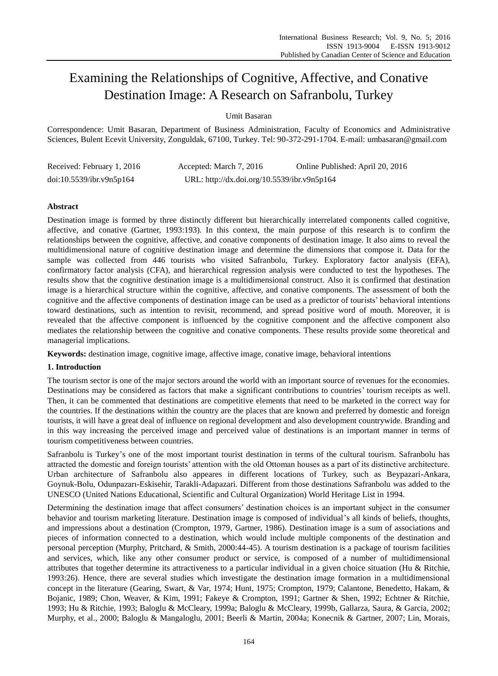# Examining the Relationships of Cognitive, Affective, and Conative Destination Image: A Research on Safranbolu, Turkey

# Umit Basaran

Correspondence: Umit Basaran, Department of Business Administration, Faculty of Economics and Administrative Sciences, Bulent Ecevit University, Zonguldak, 67100, Turkey. Tel: 90-372-291-1704. E-mail: umbasaran@gmail.com

| Received: February 1, 2016 | Accepted: March 7, 2016                     | Online Published: April 20, 2016 |
|----------------------------|---------------------------------------------|----------------------------------|
| doi:10.5539/ibr.v9n5p164   | URL: http://dx.doi.org/10.5539/ibr.v9n5p164 |                                  |

## **Abstract**

Destination image is formed by three distinctly different but hierarchically interrelated components called cognitive, affective, and conative (Gartner, 1993:193). In this context, the main purpose of this research is to confirm the relationships between the cognitive, affective, and conative components of destination image. It also aims to reveal the multidimensional nature of cognitive destination image and determine the dimensions that compose it. Data for the sample was collected from 446 tourists who visited Safranbolu, Turkey. Exploratory factor analysis (EFA), confirmatory factor analysis (CFA), and hierarchical regression analysis were conducted to test the hypotheses. The results show that the cognitive destination image is a multidimensional construct. Also it is confirmed that destination image is a hierarchical structure within the cognitive, affective, and conative components. The assessment of both the cognitive and the affective components of destination image can be used as a predictor of tourists' behavioral intentions toward destinations, such as intention to revisit, recommend, and spread positive word of mouth. Moreover, it is revealed that the affective component is influenced by the cognitive component and the affective component also mediates the relationship between the cognitive and conative components. These results provide some theoretical and managerial implications.

**Keywords:** destination image, cognitive image, affective image, conative image, behavioral intentions

## **1. Introduction**

The tourism sector is one of the major sectors around the world with an important source of revenues for the economies. Destinations may be considered as factors that make a significant contributions to countries' tourism receipts as well. Then, it can be commented that destinations are competitive elements that need to be marketed in the correct way for the countries. If the destinations within the country are the places that are known and preferred by domestic and foreign tourists, it will have a great deal of influence on regional development and also development countrywide. Branding and in this way increasing the perceived image and perceived value of destinations is an important manner in terms of tourism competitiveness between countries.

Safranbolu is Turkey's one of the most important tourist destination in terms of the cultural tourism. Safranbolu has attracted the domestic and foreign tourists' attention with the old Ottoman houses as a part of its distinctive architecture. Urban architecture of Safranbolu also appeares in different locations of Turkey, such as Beypazari-Ankara, Goynuk-Bolu, Odunpazarı-Eskisehir, Tarakli-Adapazari. Different from those destinations Safranbolu was added to the UNESCO (United Nations Educational, Scientific and Cultural Organization) World Heritage List in 1994.

Determining the destination image that affect consumers' destination choices is an important subject in the consumer behavior and tourism marketing literature. Destination image is composed of individual's all kinds of beliefs, thoughts, and impressions about a destination (Crompton, 1979, Gartner, 1986). Destination image is a sum of associations and pieces of information connected to a destination, which would include multiple components of the destination and personal perception (Murphy, Pritchard, & Smith, 2000:44-45). A tourism destination is a package of tourism facilities and services, which, like any other consumer product or service, is composed of a number of multidimensional attributes that together determine its attractiveness to a particular individual in a given choice situation (Hu & Ritchie, 1993:26). Hence, there are several studies which investigate the destination image formation in a multidimensional concept in the literature (Gearing, Swart, & Var, 1974; Hunt, 1975; Crompton, 1979; Calantone, Benedetto, Hakam, & Bojanic, 1989; Chon, Weaver, & Kim, 1991; Fakeye & Crompton, 1991; Gartner & Shen, 1992; Echtner & Ritchie, 1993; Hu & Ritchie, 1993; Baloglu & McCleary, 1999a; Baloglu & McCleary, 1999b, Gallarza, Saura, & Garcia, 2002; Murphy, et al., 2000; Baloglu & Mangaloglu, 2001; Beerli & Martin, 2004a; Konecnik & Gartner, 2007; Lin, Morais,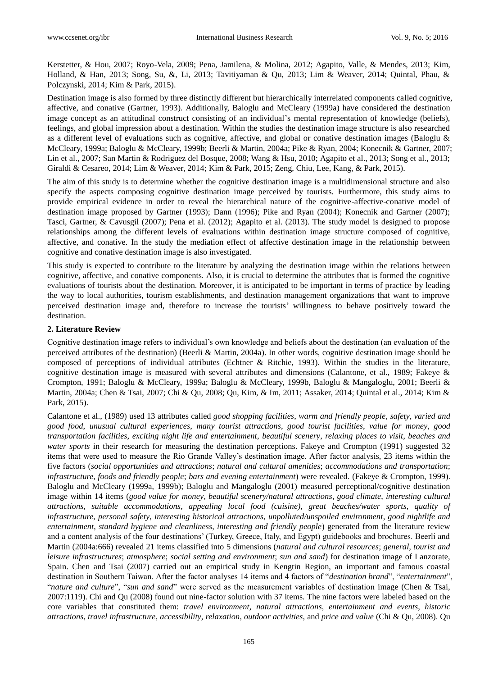Kerstetter, & Hou, 2007; Royo-Vela, 2009; Pena, Jamilena, & Molina, 2012; Agapito, Valle, & Mendes, 2013; Kim, Holland, & Han, 2013; Song, Su, &, Li, 2013; Tavitiyaman & Qu, 2013; Lim & Weaver, 2014; Quintal, Phau, & Polczynski, 2014; Kim & Park, 2015).

Destination image is also formed by three distinctly different but hierarchically interrelated components called cognitive, affective, and conative (Gartner, 1993). Additionally, Baloglu and McCleary (1999a) have considered the destination image concept as an attitudinal construct consisting of an individual's mental representation of knowledge (beliefs), feelings, and global impression about a destination. Within the studies the destination image structure is also researched as a different level of evaluations such as cognitive, affective, and global or conative destination images (Baloglu & McCleary, 1999a; Baloglu & McCleary, 1999b; Beerli & Martin, 2004a; Pike & Ryan, 2004; Konecnik & Gartner, 2007; Lin et al., 2007; San Martin & Rodriguez del Bosque, 2008; Wang & Hsu, 2010; Agapito et al., 2013; Song et al., 2013; Giraldi & Cesareo, 2014; Lim & Weaver, 2014; Kim & Park, 2015; Zeng, Chiu, Lee, Kang, & Park, 2015).

The aim of this study is to determine whether the cognitive destination image is a multidimensional structure and also specify the aspects composing cognitive destination image perceived by tourists. Furthermore, this study aims to provide empirical evidence in order to reveal the hierarchical nature of the cognitive-affective-conative model of destination image proposed by Gartner (1993); Dann (1996); Pike and Ryan (2004); Konecnik and Gartner (2007); Tasci, Gartner, & Cavusgil (2007); Pena et al. (2012); Agapito et al. (2013). The study model is designed to propose relationships among the different levels of evaluations within destination image structure composed of cognitive, affective, and conative. In the study the mediation effect of affective destination image in the relationship between cognitive and conative destination image is also investigated.

This study is expected to contribute to the literature by analyzing the destination image within the relations between cognitive, affective, and conative components. Also, it is crucial to determine the attributes that is formed the cognitive evaluations of tourists about the destination. Moreover, it is anticipated to be important in terms of practice by leading the way to local authorities, tourism establishments, and destination management organizations that want to improve perceived destination image and, therefore to increase the tourists' willingness to behave positively toward the destination.

#### **2. Literature Review**

Cognitive destination image refers to individual's own knowledge and beliefs about the destination (an evaluation of the perceived attributes of the destination) (Beerli & Martin, 2004a). In other words, cognitive destination image should be composed of perceptions of individual attributes (Echtner & Ritchie, 1993). Within the studies in the literature, cognitive destination image is measured with several attributes and dimensions (Calantone, et al., 1989; Fakeye & Crompton, 1991; Baloglu & McCleary, 1999a; Baloglu & McCleary, 1999b, Baloglu & Mangaloglu, 2001; Beerli & Martin, 2004a; Chen & Tsai, 2007; Chi & Qu, 2008; Qu, Kim, & Im, 2011; Assaker, 2014; Quintal et al., 2014; Kim & Park, 2015).

Calantone et al., (1989) used 13 attributes called *good shopping facilities*, *warm and friendly people*, *safety*, *varied and good food*, *unusual cultural experiences*, *many tourist attractions*, *good tourist facilities*, *value for money*, *good transportation facilities*, *exciting night life and entertainment*, *beautiful scenery*, *relaxing places to visit*, *beaches and water sports* in their research for measuring the destination perceptions. Fakeye and Crompton (1991) suggested 32 items that were used to measure the Rio Grande Valley's destination image. After factor analysis, 23 items within the five factors (*social opportunities and attractions*; *natural and cultural amenities*; *accommodations and transportation*; *infrastructure, foods and friendly people*; *bars and evening entertainment*) were revealed. (Fakeye & Crompton, 1999). Baloglu and McCleary (1999a, 1999b); Baloglu and Mangaloglu (2001) measured perceptional/cognitive destination image within 14 items (*good value for money*, *beautiful scenery/natural attractions*, *good climate*, *interesting cultural attractions*, *suitable accommodations*, *appealing local food (cuisine)*, *great beaches/water sports*, *quality of infrastructure*, *personal safety*, *interesting historical attractions*, *unpolluted/unspoiled environment*, *good nightlife and entertainment*, *standard hygiene and cleanliness*, *interesting and friendly people*) generated from the literature review and a content analysis of the four destinations' (Turkey, Greece, Italy, and Egypt) guidebooks and brochures. Beerli and Martin (2004a:666) revealed 21 items classified into 5 dimensions (*natural and cultural resources*; *general, tourist and leisure infrastructures*; *atmosphere*; *social setting and environment*; *sun and sand*) for destination image of Lanzorate, Spain. Chen and Tsai (2007) carried out an empirical study in Kengtin Region, an important and famous coastal destination in Southern Taiwan. After the factor analyses 14 items and 4 factors of "*destination brand*", "*entertainment*", "*nature and culture*", "*sun and sand*" were served as the measurement variables of destination image (Chen & Tsai, 2007:1119). Chi and Qu (2008) found out nine-factor solution with 37 items. The nine factors were labeled based on the core variables that constituted them: *travel environment*, *natural attractions*, *entertainment and events*, *historic attractions*, *travel infrastructure*, *accessibility*, *relaxation*, *outdoor activities*, and *price and value* (Chi & Qu, 2008). Qu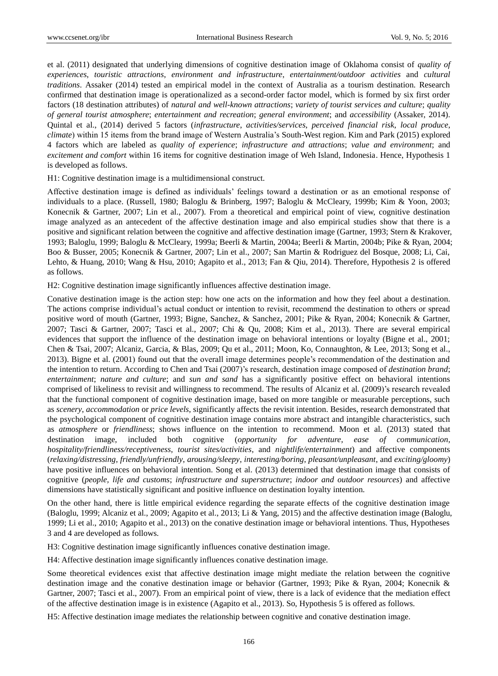et al. (2011) designated that underlying dimensions of cognitive destination image of Oklahoma consist of *quality of experiences*, *touristic attractions*, *environment and infrastructure*, *entertainment/outdoor activities* and *cultural traditions*. Assaker (2014) tested an empirical model in the context of Australia as a tourism destination. Research confirmed that destination image is operationalized as a second-order factor model, which is formed by six first order factors (18 destination attributes) of *natural and well-known attractions*; *variety of tourist services and culture*; *quality of general tourist atmosphere*; *entertainment and recreation*; *general environment*; and *accessibility* (Assaker, 2014). Quintal et al., (2014) derived 5 factors (*infrastructure*, *activities/services*, *perceived financial risk*, *local produce*, *climate*) within 15 items from the brand image of Western Australia's South-West region. Kim and Park (2015) explored 4 factors which are labeled as *quality of experience*; *infrastructure and attractions*; *value and environment*; and *excitement and comfort* within 16 items for cognitive destination image of Weh Island, Indonesia. Hence, Hypothesis 1 is developed as follows.

H1: Cognitive destination image is a multidimensional construct.

Affective destination image is defined as individuals' feelings toward a destination or as an emotional response of individuals to a place. (Russell, 1980; Baloglu & Brinberg, 1997; Baloglu & McCleary, 1999b; Kim & Yoon, 2003; Konecnik & Gartner, 2007; Lin et al., 2007). From a theoretical and empirical point of view, cognitive destination image analyzed as an antecedent of the affective destination image and also empirical studies show that there is a positive and significant relation between the cognitive and affective destination image (Gartner, 1993; Stern & Krakover, 1993; Baloglu, 1999; Baloglu & McCleary, 1999a; Beerli & Martin, 2004a; Beerli & Martin, 2004b; Pike & Ryan, 2004; Boo & Busser, 2005; Konecnik & Gartner, 2007; Lin et al., 2007; San Martin & Rodriguez del Bosque, 2008; Li, Cai, Lehto, & Huang, 2010; Wang & Hsu, 2010; Agapito et al., 2013; Fan & Qiu, 2014). Therefore, Hypothesis 2 is offered as follows.

H2: Cognitive destination image significantly influences affective destination image.

Conative destination image is the action step: how one acts on the information and how they feel about a destination. The actions comprise individual's actual conduct or intention to revisit, recommend the destination to others or spread positive word of mouth (Gartner, 1993; Bigne, Sanchez, & Sanchez, 2001; Pike & Ryan, 2004; Konecnik & Gartner, 2007; Tasci & Gartner, 2007; Tasci et al., 2007; Chi & Qu, 2008; Kim et al., 2013). There are several empirical evidences that support the influence of the destination image on behavioral intentions or loyalty (Bigne et al., 2001; Chen & Tsai, 2007; Alcaniz, Garcia, & Blas, 2009; Qu et al., 2011; Moon, Ko, Connaughton, & Lee, 2013; Song et al., 2013). Bigne et al. (2001) found out that the overall image determines people's recommendation of the destination and the intention to return. According to Chen and Tsai (2007)'s research, destination image composed of *destination brand*; *entertainment*; *nature and culture*; and *sun and sand* has a significantly positive effect on behavioral intentions comprised of likeliness to revisit and willingness to recommend. The results of Alcaniz et al. (2009)'s research revealed that the functional component of cognitive destination image, based on more tangible or measurable perceptions, such as *scenery*, *accommodation* or *price levels*, significantly affects the revisit intention. Besides, research demonstrated that the psychological component of cognitive destination image contains more abstract and intangible characteristics, such as *atmosphere* or *friendliness*; shows influence on the intention to recommend. Moon et al. (2013) stated that destination image, included both cognitive (*opportunity for adventure*, *ease of communication*, *hospitality/friendliness/receptiveness*, *tourist sites/activities*, and *nightlife/entertainment*) and affective components (*relaxing/distressing*, *friendly/unfriendly*, *arousing/sleepy*, *interesting/boring*, *pleasant/unpleasant*, and *exciting/gloomy*) have positive influences on behavioral intention. Song et al. (2013) determined that destination image that consists of cognitive (*people, life and customs*; *infrastructure and superstructure*; *indoor and outdoor resources*) and affective dimensions have statistically significant and positive influence on destination loyalty intention.

On the other hand, there is little empirical evidence regarding the separate effects of the cognitive destination image (Baloglu, 1999; Alcaniz et al., 2009; Agapito et al., 2013; Li & Yang, 2015) and the affective destination image (Baloglu, 1999; Li et al., 2010; Agapito et al., 2013) on the conative destination image or behavioral intentions. Thus, Hypotheses 3 and 4 are developed as follows.

H3: Cognitive destination image significantly influences conative destination image.

H4: Affective destination image significantly influences conative destination image.

Some theoretical evidences exist that affective destination image might mediate the relation between the cognitive destination image and the conative destination image or behavior (Gartner, 1993; Pike & Ryan, 2004; Konecnik & Gartner, 2007; Tasci et al., 2007). From an empirical point of view, there is a lack of evidence that the mediation effect of the affective destination image is in existence (Agapito et al., 2013). So, Hypothesis 5 is offered as follows.

H5: Affective destination image mediates the relationship between cognitive and conative destination image.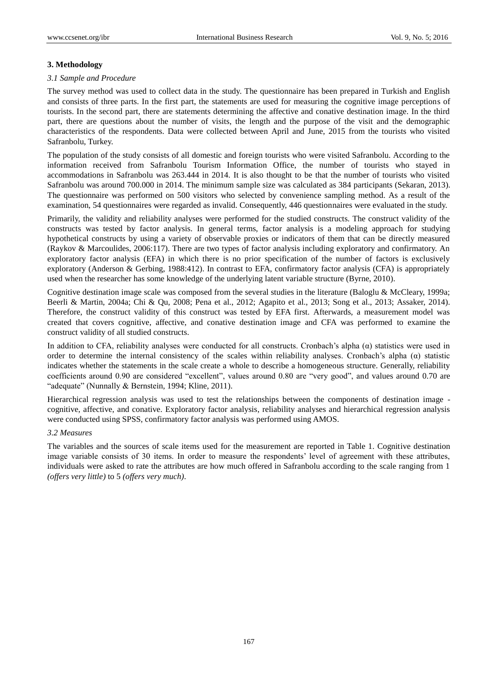## **3. Methodology**

#### *3.1 Sample and Procedure*

The survey method was used to collect data in the study. The questionnaire has been prepared in Turkish and English and consists of three parts. In the first part, the statements are used for measuring the cognitive image perceptions of tourists. In the second part, there are statements determining the affective and conative destination image. In the third part, there are questions about the number of visits, the length and the purpose of the visit and the demographic characteristics of the respondents. Data were collected between April and June, 2015 from the tourists who visited Safranbolu, Turkey.

The population of the study consists of all domestic and foreign tourists who were visited Safranbolu. According to the information received from Safranbolu Tourism Information Office, the number of tourists who stayed in accommodations in Safranbolu was 263.444 in 2014. It is also thought to be that the number of tourists who visited Safranbolu was around 700.000 in 2014. The minimum sample size was calculated as 384 participants (Sekaran, 2013). The questionnaire was performed on 500 visitors who selected by convenience sampling method. As a result of the examination, 54 questionnaires were regarded as invalid. Consequently, 446 questionnaires were evaluated in the study.

Primarily, the validity and reliability analyses were performed for the studied constructs. The construct validity of the constructs was tested by factor analysis. In general terms, factor analysis is a modeling approach for studying hypothetical constructs by using a variety of observable proxies or indicators of them that can be directly measured (Raykov & Marcoulides, 2006:117). There are two types of factor analysis including exploratory and confirmatory. An exploratory factor analysis (EFA) in which there is no prior specification of the number of factors is exclusively exploratory (Anderson & Gerbing, 1988:412). In contrast to EFA, confirmatory factor analysis (CFA) is appropriately used when the researcher has some knowledge of the underlying latent variable structure (Byrne, 2010).

Cognitive destination image scale was composed from the several studies in the literature (Baloglu & McCleary, 1999a; Beerli & Martin, 2004a; Chi & Qu, 2008; Pena et al., 2012; Agapito et al., 2013; Song et al., 2013; Assaker, 2014). Therefore, the construct validity of this construct was tested by EFA first. Afterwards, a measurement model was created that covers cognitive, affective, and conative destination image and CFA was performed to examine the construct validity of all studied constructs.

In addition to CFA, reliability analyses were conducted for all constructs. Cronbach's alpha (α) statistics were used in order to determine the internal consistency of the scales within reliability analyses. Cronbach's alpha (α) statistic indicates whether the statements in the scale create a whole to describe a homogeneous structure. Generally, reliability coefficients around 0.90 are considered "excellent", values around 0.80 are "very good", and values around 0.70 are "adequate" (Nunnally & Bernstein, 1994; Kline, 2011).

Hierarchical regression analysis was used to test the relationships between the components of destination image cognitive, affective, and conative. Exploratory factor analysis, reliability analyses and hierarchical regression analysis were conducted using SPSS, confirmatory factor analysis was performed using AMOS.

#### *3.2 Measures*

The variables and the sources of scale items used for the measurement are reported in Table 1. Cognitive destination image variable consists of 30 items. In order to measure the respondents' level of agreement with these attributes, individuals were asked to rate the attributes are how much offered in Safranbolu according to the scale ranging from 1 *(offers very little)* to 5 *(offers very much)*.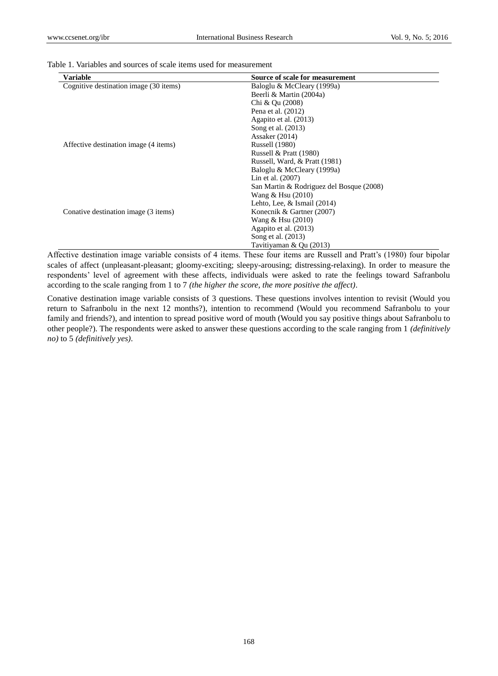| Variable                               | Source of scale for measurement          |
|----------------------------------------|------------------------------------------|
| Cognitive destination image (30 items) | Baloglu & McCleary (1999a)               |
|                                        | Beerli & Martin (2004a)                  |
|                                        | Chi & Qu (2008)                          |
|                                        | Pena et al. (2012)                       |
|                                        | Agapito et al. (2013)                    |
|                                        | Song et al. (2013)                       |
|                                        | Assaker (2014)                           |
| Affective destination image (4 items)  | <b>Russell</b> (1980)                    |
|                                        | Russell & Pratt $(1980)$                 |
|                                        | Russell, Ward, & Pratt (1981)            |
|                                        | Baloglu & McCleary (1999a)               |
|                                        | Lin et al. (2007)                        |
|                                        | San Martin & Rodriguez del Bosque (2008) |
|                                        | Wang $&$ Hsu (2010)                      |
|                                        | Lehto, Lee, $&$ Ismail (2014)            |
| Conative destination image (3 items)   | Konecnik & Gartner (2007)                |
|                                        | Wang $&$ Hsu (2010)                      |
|                                        | Agapito et al. (2013)                    |
|                                        | Song et al. (2013)                       |
|                                        | Tavitiyaman & Qu (2013)                  |

#### Table 1. Variables and sources of scale items used for measurement

Affective destination image variable consists of 4 items. These four items are Russell and Pratt's (1980) four bipolar scales of affect (unpleasant-pleasant; gloomy-exciting; sleepy-arousing; distressing-relaxing). In order to measure the respondents' level of agreement with these affects, individuals were asked to rate the feelings toward Safranbolu according to the scale ranging from 1 to 7 *(the higher the score, the more positive the affect)*.

Conative destination image variable consists of 3 questions. These questions involves intention to revisit (Would you return to Safranbolu in the next 12 months?), intention to recommend (Would you recommend Safranbolu to your family and friends?), and intention to spread positive word of mouth (Would you say positive things about Safranbolu to other people?). The respondents were asked to answer these questions according to the scale ranging from 1 *(definitively no)* to 5 *(definitively yes)*.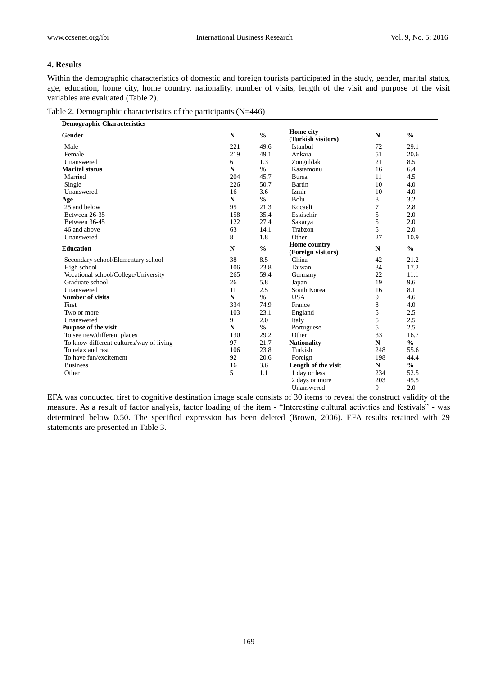## **4. Results**

Within the demographic characteristics of domestic and foreign tourists participated in the study, gender, marital status, age, education, home city, home country, nationality, number of visits, length of the visit and purpose of the visit variables are evaluated (Table 2).

Table 2. Demographic characteristics of the participants (N=446)

| <b>Demographic Characteristics</b>       |             |               |                                           |             |               |
|------------------------------------------|-------------|---------------|-------------------------------------------|-------------|---------------|
| Gender                                   | $\mathbf N$ | $\frac{0}{0}$ | Home city<br>(Turkish visitors)           | N           | $\frac{0}{0}$ |
| Male                                     | 221         | 49.6          | Istanbul                                  | 72          | 29.1          |
| Female                                   | 219         | 49.1          | Ankara                                    | 51          | 20.6          |
| Unanswered                               | 6           | 1.3           | Zonguldak                                 | 21          | 8.5           |
| <b>Marital status</b>                    | $\mathbf N$ | $\frac{0}{0}$ | Kastamonu                                 | 16          | 6.4           |
| Married                                  | 204         | 45.7          | <b>Bursa</b>                              | 11          | 4.5           |
| Single                                   | 226         | 50.7          | Bartin                                    | 10          | 4.0           |
| Unanswered                               | 16          | 3.6           | Izmir                                     | 10          | 4.0           |
| Age                                      | $\mathbf N$ | $\frac{0}{0}$ | Bolu                                      | 8           | 3.2           |
| 25 and below                             | 95          | 21.3          | Kocaeli                                   | $\tau$      | 2.8           |
| Between 26-35                            | 158         | 35.4          | Eskisehir                                 | 5           | 2.0           |
| Between 36-45                            | 122         | 27.4          | Sakarya                                   | 5           | 2.0           |
| 46 and above                             | 63          | 14.1          | Trabzon                                   | 5           | 2.0           |
| Unanswered                               | 8           | 1.8           | Other                                     | 27          | 10.9          |
| <b>Education</b>                         | $\mathbf N$ | $\frac{0}{0}$ | <b>Home country</b><br>(Foreign visitors) | $\mathbf N$ | $\frac{0}{0}$ |
| Secondary school/Elementary school       | 38          | 8.5           | China                                     | 42          | 21.2          |
| High school                              | 106         | 23.8          | Taiwan                                    | 34          | 17.2          |
| Vocational school/College/University     | 265         | 59.4          | Germany                                   | 22          | 11.1          |
| Graduate school                          | 26          | 5.8           | Japan                                     | 19          | 9.6           |
| Unanswered                               | 11          | 2.5           | South Korea                               | 16          | 8.1           |
| <b>Number of visits</b>                  | ${\bf N}$   | $\frac{0}{0}$ | <b>USA</b>                                | 9           | 4.6           |
| First                                    | 334         | 74.9          | France                                    | 8           | 4.0           |
| Two or more                              | 103         | 23.1          | England                                   | 5           | 2.5           |
| Unanswered                               | 9           | 2.0           | Italy                                     | 5           | 2.5           |
| Purpose of the visit                     | N           | $\frac{0}{0}$ | Portuguese                                | 5           | 2.5           |
| To see new/different places              | 130         | 29.2          | Other                                     | 33          | 16.7          |
| To know different cultures/way of living | 97          | 21.7          | <b>Nationality</b>                        | $\mathbf N$ | $\frac{0}{0}$ |
| To relax and rest                        | 106         | 23.8          | Turkish                                   | 248         | 55.6          |
| To have fun/excitement                   | 92          | 20.6          | Foreign                                   | 198         | 44.4          |
| <b>Business</b>                          | 16          | 3.6           | Length of the visit                       | $\mathbf N$ | $\frac{0}{0}$ |
| Other                                    | 5           | 1.1           | 1 day or less                             | 234         | 52.5          |
|                                          |             |               | 2 days or more                            | 203         | 45.5          |
|                                          |             |               | Unanswered                                | 9           | 2.0           |

EFA was conducted first to cognitive destination image scale consists of 30 items to reveal the construct validity of the measure. As a result of factor analysis, factor loading of the item - "Interesting cultural activities and festivals" - was determined below 0.50. The specified expression has been deleted (Brown, 2006). EFA results retained with 29 statements are presented in Table 3.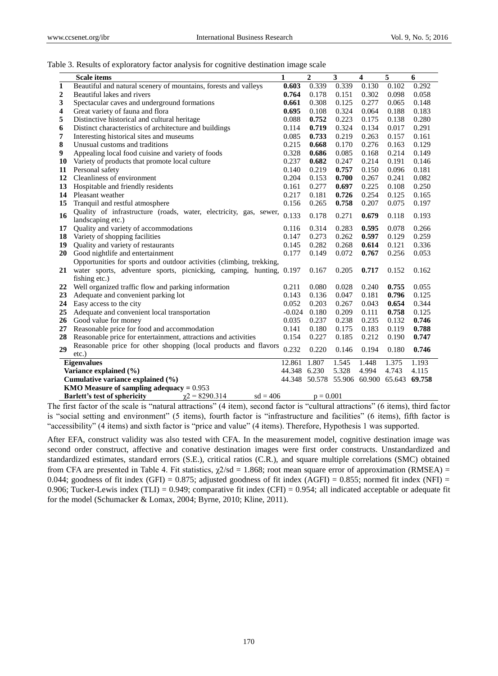Table 3. Results of exploratory factor analysis for cognitive destination image scale

|               | <b>Scale items</b>                                                                        | 1            | $\overline{2}$              | 3     | 4     | 5      | 6      |
|---------------|-------------------------------------------------------------------------------------------|--------------|-----------------------------|-------|-------|--------|--------|
| $\mathbf{1}$  | Beautiful and natural scenery of mountains, forests and valleys                           | 0.603        | 0.339                       | 0.339 | 0.130 | 0.102  | 0.292  |
| 2             | Beautiful lakes and rivers                                                                | 0.764        | 0.178                       | 0.151 | 0.302 | 0.098  | 0.058  |
| 3             | Spectacular caves and underground formations                                              | 0.661        | 0.308                       | 0.125 | 0.277 | 0.065  | 0.148  |
| 4             | Great variety of fauna and flora                                                          | 0.695        | 0.108                       | 0.324 | 0.064 | 0.188  | 0.183  |
| 5             | Distinctive historical and cultural heritage                                              | 0.088        | 0.752                       | 0.223 | 0.175 | 0.138  | 0.280  |
| 6             | Distinct characteristics of architecture and buildings                                    | 0.114        | 0.719                       | 0.324 | 0.134 | 0.017  | 0.291  |
| 7             | Interesting historical sites and museums                                                  | 0.085        | 0.733                       | 0.219 | 0.263 | 0.157  | 0.161  |
| 8             | Unusual customs and traditions                                                            | 0.215        | 0.668                       | 0.170 | 0.276 | 0.163  | 0.129  |
| 9             | Appealing local food cuisine and variety of foods                                         | 0.328        | 0.686                       | 0.085 | 0.168 | 0.214  | 0.149  |
| 10            | Variety of products that promote local culture                                            | 0.237        | 0.682                       | 0.247 | 0.214 | 0.191  | 0.146  |
| 11            | Personal safety                                                                           | 0.140        | 0.219                       | 0.757 | 0.150 | 0.096  | 0.181  |
| 12            | Cleanliness of environment                                                                | 0.204        | 0.153                       | 0.700 | 0.267 | 0.241  | 0.082  |
| 13            | Hospitable and friendly residents                                                         | 0.161        | 0.277                       | 0.697 | 0.225 | 0.108  | 0.250  |
| 14            | Pleasant weather                                                                          | 0.217        | 0.181                       | 0.726 | 0.254 | 0.125  | 0.165  |
| 15            | Tranquil and restful atmosphere                                                           | 0.156        | 0.265                       | 0.758 | 0.207 | 0.075  | 0.197  |
| 16            | Quality of infrastructure (roads, water, electricity, gas, sewer,<br>landscaping etc.)    | 0.133        | 0.178                       | 0.271 | 0.679 | 0.118  | 0.193  |
| 17            | Quality and variety of accommodations                                                     | 0.116        | 0.314                       | 0.283 | 0.595 | 0.078  | 0.266  |
| 18            | Variety of shopping facilities                                                            | 0.147        | 0.273                       | 0.262 | 0.597 | 0.129  | 0.259  |
| 19            | Quality and variety of restaurants                                                        | 0.145        | 0.282                       | 0.268 | 0.614 | 0.121  | 0.336  |
| 20            | Good nightlife and entertainment                                                          | 0.177        | 0.149                       | 0.072 | 0.767 | 0.256  | 0.053  |
|               | Opportunities for sports and outdoor activities (climbing, trekking,                      |              |                             |       |       |        |        |
| 21            | water sports, adventure sports, picnicking, camping, hunting, 0.197                       |              | 0.167                       | 0.205 | 0.717 | 0.152  | 0.162  |
| fishing etc.) |                                                                                           |              |                             |       |       |        |        |
| 22            | Well organized traffic flow and parking information                                       | 0.211        | 0.080                       | 0.028 | 0.240 | 0.755  | 0.055  |
| 23            | Adequate and convenient parking lot                                                       | 0.143        | 0.136                       | 0.047 | 0.181 | 0.796  | 0.125  |
| 24            | Easy access to the city                                                                   | 0.052        | 0.203                       | 0.267 | 0.043 | 0.654  | 0.344  |
| 25            | Adequate and convenient local transportation                                              | $-0.024$     | 0.180                       | 0.209 | 0.111 | 0.758  | 0.125  |
| 26            | Good value for money                                                                      | 0.035        | 0.237                       | 0.238 | 0.235 | 0.132  | 0.746  |
| 27            | Reasonable price for food and accommodation                                               | 0.141        | 0.180                       | 0.175 | 0.183 | 0.119  | 0.788  |
| 28            | Reasonable price for entertainment, attractions and activities                            | 0.154        | 0.227                       | 0.185 | 0.212 | 0.190  | 0.747  |
| 29            | Reasonable price for other shopping (local products and flavors                           | 0.232        | 0.220                       | 0.146 | 0.194 | 0.180  | 0.746  |
|               | $etc.$ )                                                                                  |              |                             |       |       |        |        |
|               | <b>Eigenvalues</b>                                                                        | 12.861       | 1.807                       | 1.545 | 1.448 | 1.375  | 1.193  |
|               | Variance explained (%)                                                                    | 44.348 6.230 |                             | 5.328 | 4.994 | 4.743  | 4.115  |
|               | Cumulative variance explained (%)                                                         |              | 44.348 50.578 55.906 60.900 |       |       | 65.643 | 69.758 |
|               | KMO Measure of sampling adequacy $= 0.953$                                                |              |                             |       |       |        |        |
|               | <b>Barlett's test of sphericity</b><br>$\gamma$ 2 = 8290.314<br>$sd = 406$<br>$p = 0.001$ |              |                             |       |       |        |        |

The first factor of the scale is "natural attractions" (4 item), second factor is "cultural attractions" (6 items), third factor is "social setting and environment" (5 items), fourth factor is "infrastructure and facilities" (6 items), fifth factor is "accessibility" (4 items) and sixth factor is "price and value" (4 items). Therefore, Hypothesis 1 was supported.

After EFA, construct validity was also tested with CFA. In the measurement model, cognitive destination image was second order construct, affective and conative destination images were first order constructs. Unstandardized and standardized estimates, standard errors (S.E.), critical ratios (C.R.), and square multiple correlations (SMC) obtained from CFA are presented in Table 4. Fit statistics,  $\chi$ 2/sd = 1.868; root mean square error of approximation (RMSEA) = 0.044; goodness of fit index (GFI) = 0.875; adjusted goodness of fit index (AGFI) = 0.855; normed fit index (NFI) = 0.906; Tucker-Lewis index (TLI) = 0.949; comparative fit index (CFI) = 0.954; all indicated acceptable or adequate fit for the model (Schumacker & Lomax, 2004; Byrne, 2010; Kline, 2011).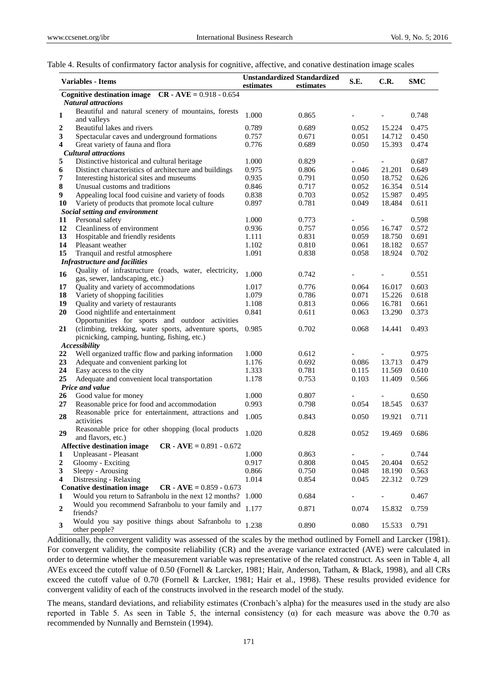Table 4. Results of confirmatory factor analysis for cognitive, affective, and conative destination image scales

| <b>Unstandardized Standardized</b> |                                                                                         |           |           |                          |                          |            |  |
|------------------------------------|-----------------------------------------------------------------------------------------|-----------|-----------|--------------------------|--------------------------|------------|--|
|                                    | <b>Variables - Items</b>                                                                | estimates | estimates | S.E.                     | C.R.                     | <b>SMC</b> |  |
|                                    | Cognitive destination image $CR - AVE = 0.918 - 0.654$                                  |           |           |                          |                          |            |  |
|                                    | <b>Natural attractions</b>                                                              |           |           |                          |                          |            |  |
|                                    | Beautiful and natural scenery of mountains, forests                                     |           |           |                          |                          |            |  |
| 1                                  | and valleys                                                                             | 1.000     | 0.865     |                          |                          | 0.748      |  |
| $\boldsymbol{2}$                   | Beautiful lakes and rivers                                                              | 0.789     | 0.689     | 0.052                    | 15.224                   | 0.475      |  |
| 3                                  | Spectacular caves and underground formations                                            | 0.757     | 0.671     | 0.051                    | 14.712                   | 0.450      |  |
| 4                                  | Great variety of fauna and flora                                                        | 0.776     | 0.689     | 0.050                    | 15.393                   | 0.474      |  |
|                                    | <b>Cultural attractions</b>                                                             |           |           |                          |                          |            |  |
| 5                                  | Distinctive historical and cultural heritage                                            | 1.000     | 0.829     |                          |                          | 0.687      |  |
| $\boldsymbol{6}$                   | Distinct characteristics of architecture and buildings                                  | 0.975     | 0.806     | 0.046                    | 21.201                   | 0.649      |  |
| 7                                  | Interesting historical sites and museums                                                | 0.935     | 0.791     | 0.050                    | 18.752                   | 0.626      |  |
| 8                                  | Unusual customs and traditions                                                          | 0.846     | 0.717     | 0.052                    | 16.354                   | 0.514      |  |
| 9                                  | Appealing local food cuisine and variety of foods                                       | 0.838     | 0.703     | 0.052                    | 15.987                   | 0.495      |  |
| 10                                 | Variety of products that promote local culture                                          | 0.897     | 0.781     | 0.049                    | 18.484                   | 0.611      |  |
|                                    | Social setting and environment                                                          |           |           |                          |                          |            |  |
| 11                                 | Personal safety                                                                         | 1.000     | 0.773     |                          |                          | 0.598      |  |
| 12                                 | Cleanliness of environment                                                              | 0.936     | 0.757     | 0.056                    | 16.747                   | 0.572      |  |
| 13                                 | Hospitable and friendly residents                                                       | 1.111     | 0.831     | 0.059                    | 18.750                   | 0.691      |  |
| 14                                 | Pleasant weather                                                                        | 1.102     | 0.810     | 0.061                    | 18.182                   | 0.657      |  |
| 15                                 | Tranquil and restful atmosphere                                                         | 1.091     | 0.838     | 0.058                    | 18.924                   | 0.702      |  |
|                                    | <b>Infrastructure and facilities</b>                                                    |           |           |                          |                          |            |  |
| 16                                 | Quality of infrastructure (roads, water, electricity,<br>gas, sewer, landscaping, etc.) | 1.000     | 0.742     |                          |                          | 0.551      |  |
| 17                                 | Quality and variety of accommodations                                                   | 1.017     | 0.776     | 0.064                    | 16.017                   | 0.603      |  |
| 18                                 | Variety of shopping facilities                                                          | 1.079     | 0.786     | 0.071                    | 15.226                   | 0.618      |  |
| 19                                 | Quality and variety of restaurants                                                      | 1.108     | 0.813     | 0.066                    | 16.781                   | 0.661      |  |
| 20                                 | Good nightlife and entertainment                                                        | 0.841     | 0.611     | 0.063                    | 13.290                   | 0.373      |  |
|                                    | Opportunities for sports and outdoor activities                                         |           |           |                          |                          |            |  |
| 21                                 | (climbing, trekking, water sports, adventure sports,                                    | 0.985     | 0.702     | 0.068                    | 14.441                   | 0.493      |  |
|                                    | picnicking, camping, hunting, fishing, etc.)                                            |           |           |                          |                          |            |  |
|                                    | <b>Accessibility</b>                                                                    |           |           |                          |                          |            |  |
| 22                                 | Well organized traffic flow and parking information                                     | 1.000     | 0.612     |                          |                          | 0.975      |  |
| 23                                 | Adequate and convenient parking lot                                                     | 1.176     | 0.692     | 0.086                    | 13.713                   | 0.479      |  |
| 24                                 | Easy access to the city                                                                 | 1.333     | 0.781     | 0.115                    | 11.569                   | 0.610      |  |
| 25                                 | Adequate and convenient local transportation                                            | 1.178     | 0.753     | 0.103                    | 11.409                   | 0.566      |  |
|                                    | Price and value                                                                         |           |           |                          |                          |            |  |
| 26                                 | Good value for money                                                                    | 1.000     | 0.807     |                          |                          | 0.650      |  |
| 27                                 | Reasonable price for food and accommodation                                             | 0.993     | 0.798     | 0.054                    | 18.545                   | 0.637      |  |
|                                    | Reasonable price for entertainment, attractions and                                     |           |           |                          |                          |            |  |
| 28                                 | activities                                                                              | 1.005     | 0.843     | 0.050                    | 19.921                   | 0.711      |  |
|                                    | Reasonable price for other shopping (local products                                     |           |           |                          |                          |            |  |
| 29                                 | and flavors, etc.)                                                                      | 1.020     | 0.828     | 0.052                    | 19.469                   | 0.686      |  |
|                                    | Affective destination image $CR - AVE = 0.891 - 0.672$                                  |           |           |                          |                          |            |  |
| 1                                  | Unpleasant - Pleasant                                                                   | 1.000     | 0.863     | $\overline{\phantom{0}}$ | $\overline{\phantom{0}}$ | 0.744      |  |
| 2                                  | Gloomy - Exciting                                                                       | 0.917     | 0.808     | 0.045                    | 20.404                   | 0.652      |  |
| 3                                  | Sleepy - Arousing                                                                       | 0.866     | 0.750     | 0.048                    | 18.190                   | 0.563      |  |
| 4                                  | Distressing - Relaxing                                                                  | 1.014     | 0.854     | 0.045                    | 22.312                   | 0.729      |  |
|                                    | <b>Conative destination image</b><br>$CR - AVE = 0.859 - 0.673$                         |           |           |                          |                          |            |  |
| 1                                  | Would you return to Safranbolu in the next 12 months?                                   | 1.000     | 0.684     |                          |                          | 0.467      |  |
| 2                                  | Would you recommend Safranbolu to your family and                                       | 1.177     | 0.871     | 0.074                    | 15.832                   | 0.759      |  |
|                                    | friends?                                                                                |           |           |                          |                          |            |  |
| 3                                  | Would you say positive things about Safranbolu to<br>other people?                      | 1.238     | 0.890     | 0.080                    | 15.533                   | 0.791      |  |

Additionally, the convergent validity was assessed of the scales by the method outlined by Fornell and Larcker (1981). For convergent validity, the composite reliability (CR) and the average variance extracted (AVE) were calculated in order to determine whether the measurement variable was representative of the related construct. As seen in Table 4, all AVEs exceed the cutoff value of 0.50 (Fornell & Larcker, 1981; Hair, Anderson, Tatham, & Black, 1998), and all CRs exceed the cutoff value of 0.70 (Fornell & Larcker, 1981; Hair et al., 1998). These results provided evidence for convergent validity of each of the constructs involved in the research model of the study.

The means, standard deviations, and reliability estimates (Cronbach's alpha) for the measures used in the study are also reported in Table 5. As seen in Table 5, the internal consistency (α) for each measure was above the 0.70 as recommended by Nunnally and Bernstein (1994).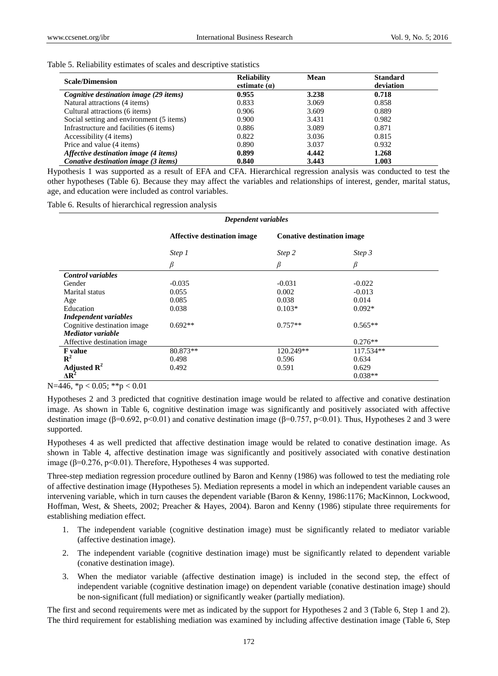| Table 5. Reliability estimates of scales and descriptive statistics |  |  |  |  |
|---------------------------------------------------------------------|--|--|--|--|
|---------------------------------------------------------------------|--|--|--|--|

| <b>Scale/Dimension</b>                   | <b>Reliability</b><br>estimate $(a)$ | Mean  | <b>Standard</b><br>deviation |
|------------------------------------------|--------------------------------------|-------|------------------------------|
| Cognitive destination image (29 items)   | 0.955                                | 3.238 | 0.718                        |
| Natural attractions (4 items)            | 0.833                                | 3.069 | 0.858                        |
| Cultural attractions (6 items)           | 0.906                                | 3.609 | 0.889                        |
| Social setting and environment (5 items) | 0.900                                | 3.431 | 0.982                        |
| Infrastructure and facilities (6 items)  | 0.886                                | 3.089 | 0.871                        |
| Accessibility (4 items)                  | 0.822                                | 3.036 | 0.815                        |
| Price and value (4 items)                | 0.890                                | 3.037 | 0.932                        |
| Affective destination image (4 items)    | 0.899                                | 4.442 | 1.268                        |
| Conative destination image (3 items)     | 0.840                                | 3.443 | 1.003                        |

Hypothesis 1 was supported as a result of EFA and CFA. Hierarchical regression analysis was conducted to test the other hypotheses (Table 6). Because they may affect the variables and relationships of interest, gender, marital status, age, and education were included as control variables.

Table 6. Results of hierarchical regression analysis

| Dependent variables          |                             |                                   |           |  |
|------------------------------|-----------------------------|-----------------------------------|-----------|--|
|                              | Affective destination image | <b>Conative destination image</b> |           |  |
|                              | Step 1                      | Step 2                            | Step 3    |  |
|                              | $\beta$                     | ß                                 | β         |  |
| <b>Control</b> variables     |                             |                                   |           |  |
| Gender                       | $-0.035$                    | $-0.031$                          | $-0.022$  |  |
| Marital status               | 0.055                       | 0.002                             | $-0.013$  |  |
| Age                          | 0.085                       | 0.038                             | 0.014     |  |
| Education                    | 0.038                       | $0.103*$                          | $0.092*$  |  |
| <b>Independent variables</b> |                             |                                   |           |  |
| Cognitive destination image  | $0.692**$                   | $0.757**$                         | $0.565**$ |  |
| <b>Mediator</b> variable     |                             |                                   |           |  |
| Affective destination image  |                             |                                   | $0.276**$ |  |
| <b>F</b> value               | 80.873**                    | 120.249**                         | 117.534** |  |
| ${\bf R}^2$                  | 0.498                       | 0.596                             | 0.634     |  |
| Adjusted $\mathbf{R}^2$      | 0.492                       | 0.591                             | 0.629     |  |
| $\Delta R^2$                 |                             |                                   | $0.038**$ |  |

N=446,  ${}^*p$  < 0.05;  ${}^*{}^p$  < 0.01

Hypotheses 2 and 3 predicted that cognitive destination image would be related to affective and conative destination image. As shown in Table 6, cognitive destination image was significantly and positively associated with affective destination image (β=0.692, p<0.01) and conative destination image (β=0.757, p<0.01). Thus, Hypotheses 2 and 3 were supported.

Hypotheses 4 as well predicted that affective destination image would be related to conative destination image. As shown in Table 4, affective destination image was significantly and positively associated with conative destination image ( $\beta$ =0.276, p<0.01). Therefore, Hypotheses 4 was supported.

Three-step mediation regression procedure outlined by Baron and Kenny (1986) was followed to test the mediating role of affective destination image (Hypotheses 5). Mediation represents a model in which an independent variable causes an intervening variable, which in turn causes the dependent variable (Baron & Kenny, 1986:1176; MacKinnon, Lockwood, Hoffman, West, & Sheets, 2002; Preacher & Hayes, 2004). Baron and Kenny (1986) stipulate three requirements for establishing mediation effect.

- 1. The independent variable (cognitive destination image) must be significantly related to mediator variable (affective destination image).
- 2. The independent variable (cognitive destination image) must be significantly related to dependent variable (conative destination image).
- 3. When the mediator variable (affective destination image) is included in the second step, the effect of independent variable (cognitive destination image) on dependent variable (conative destination image) should be non-significant (full mediation) or significantly weaker (partially mediation).

The first and second requirements were met as indicated by the support for Hypotheses 2 and 3 (Table 6, Step 1 and 2). The third requirement for establishing mediation was examined by including affective destination image (Table 6, Step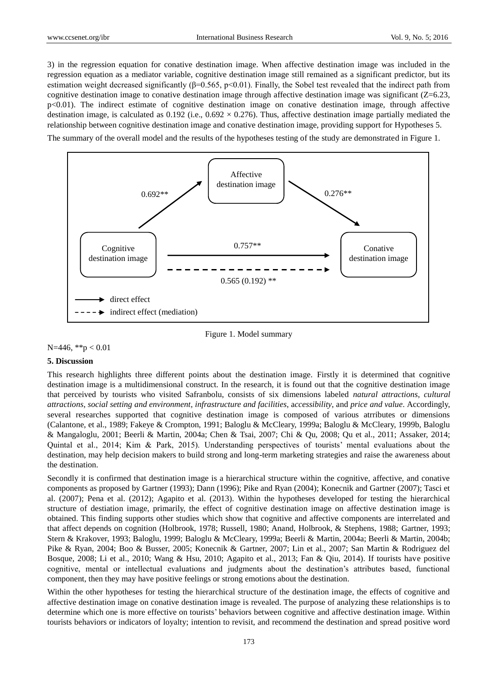3) in the regression equation for conative destination image. When affective destination image was included in the regression equation as a mediator variable, cognitive destination image still remained as a significant predictor, but its estimation weight decreased significantly ( $\beta$ =0.565, p<0.01). Finally, the Sobel test revealed that the indirect path from cognitive destination image to conative destination image through affective destination image was significant  $(Z=6.23,$ p<0.01). The indirect estimate of cognitive destination image on conative destination image, through affective destination image, is calculated as  $0.192$  (i.e.,  $0.692 \times 0.276$ ). Thus, affective destination image partially mediated the relationship between cognitive destination image and conative destination image, providing support for Hypotheses 5.

The summary of the overall model and the results of the hypotheses testing of the study are demonstrated in Figure 1.



Figure 1. Model summary

N=446,  $*$ <sup>\*</sup> $p$  < 0.01

#### **5. Discussion**

This research highlights three different points about the destination image. Firstly it is determined that cognitive destination image is a multidimensional construct. In the research, it is found out that the cognitive destination image that perceived by tourists who visited Safranbolu, consists of six dimensions labeled *natural attractions*, *cultural attractions*, *social setting and environment*, *infrastructure and facilities*, a*ccessibility*, and *price and value*. Accordingly, several researches supported that cognitive destination image is composed of various atrributes or dimensions (Calantone, et al., 1989; Fakeye & Crompton, 1991; Baloglu & McCleary, 1999a; Baloglu & McCleary, 1999b, Baloglu & Mangaloglu, 2001; Beerli & Martin, 2004a; Chen & Tsai, 2007; Chi & Qu, 2008; Qu et al., 2011; Assaker, 2014; Quintal et al., 2014; Kim & Park, 2015). Understanding perspectives of tourists' mental evaluations about the destination, may help decision makers to build strong and long-term marketing strategies and raise the awareness about the destination.

Secondly it is confirmed that destination image is a hierarchical structure within the cognitive, affective, and conative components as proposed by Gartner (1993); Dann (1996); Pike and Ryan (2004); Konecnik and Gartner (2007); Tasci et al. (2007); Pena et al. (2012); Agapito et al. (2013). Within the hypotheses developed for testing the hierarchical structure of destiation image, primarily, the effect of cognitive destination image on affective destination image is obtained. This finding supports other studies which show that cognitive and affective components are interrelated and that affect depends on cognition (Holbrook, 1978; Russell, 1980; Anand, Holbrook, & Stephens, 1988; Gartner, 1993; Stern & Krakover, 1993; Baloglu, 1999; Baloglu & McCleary, 1999a; Beerli & Martin, 2004a; Beerli & Martin, 2004b; Pike & Ryan, 2004; Boo & Busser, 2005; Konecnik & Gartner, 2007; Lin et al., 2007; San Martin & Rodriguez del Bosque, 2008; Li et al., 2010; Wang & Hsu, 2010; Agapito et al., 2013; Fan & Qiu, 2014). If tourists have positive cognitive, mental or intellectual evaluations and judgments about the destination's attributes based, functional component, then they may have positive feelings or strong emotions about the destination.

Within the other hypotheses for testing the hierarchical structure of the destination image, the effects of cognitive and affective destination image on conative destination image is revealed. The purpose of analyzing these relationships is to determine which one is more effective on tourists' behaviors between cognitive and affective destination image. Within tourists behaviors or indicators of loyalty; intention to revisit, and recommend the destination and spread positive word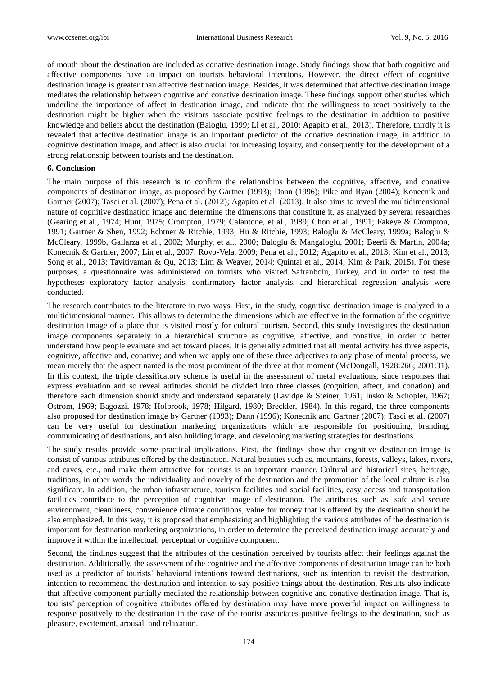of mouth about the destination are included as conative destination image. Study findings show that both cognitive and affective components have an impact on tourists behavioral intentions. However, the direct effect of cognitive destination image is greater than affective destination image. Besides, it was determined that affective destination image mediates the relationship between cognitive and conative destination image. These findings support other studies which underline the importance of affect in destination image, and indicate that the willingness to react positively to the destination might be higher when the visitors associate positive feelings to the destination in addition to positive knowledge and beliefs about the destination (Baloglu, 1999; Li et al., 2010; Agapito et al., 2013). Therefore, thirdly it is revealed that affective destination image is an important predictor of the conative destination image, in addition to cognitive destination image, and affect is also crucial for increasing loyalty, and consequently for the development of a strong relationship between tourists and the destination.

#### **6. Conclusion**

The main purpose of this research is to confirm the relationships between the cognitive, affective, and conative components of destination image, as proposed by Gartner (1993); Dann (1996); Pike and Ryan (2004); Konecnik and Gartner (2007); Tasci et al. (2007); Pena et al. (2012); Agapito et al. (2013). It also aims to reveal the multidimensional nature of cognitive destination image and determine the dimensions that constitute it, as analyzed by several researches (Gearing et al., 1974; Hunt, 1975; Crompton, 1979; Calantone, et al., 1989; Chon et al., 1991; Fakeye & Crompton, 1991; Gartner & Shen, 1992; Echtner & Ritchie, 1993; Hu & Ritchie, 1993; Baloglu & McCleary, 1999a; Baloglu & McCleary, 1999b, Gallarza et al., 2002; Murphy, et al., 2000; Baloglu & Mangaloglu, 2001; Beerli & Martin, 2004a; Konecnik & Gartner, 2007; Lin et al., 2007; Royo-Vela, 2009; Pena et al., 2012; Agapito et al., 2013; Kim et al., 2013; Song et al., 2013; Tavitiyaman & Qu, 2013; Lim & Weaver, 2014; Quintal et al., 2014; Kim & Park, 2015). For these purposes, a questionnaire was administered on tourists who visited Safranbolu, Turkey, and in order to test the hypotheses exploratory factor analysis, confirmatory factor analysis, and hierarchical regression analysis were conducted.

The research contributes to the literature in two ways. First, in the study, cognitive destination image is analyzed in a multidimensional manner. This allows to determine the dimensions which are effective in the formation of the cognitive destination image of a place that is visited mostly for cultural tourism. Second, this study investigates the destination image components separately in a hierarchical structure as cognitive, affective, and conative, in order to better understand how people evaluate and act toward places. It is generally admitted that all mental activity has three aspects, cognitive, affective and, conative; and when we apply one of these three adjectives to any phase of mental process, we mean merely that the aspect named is the most prominent of the three at that moment (McDougall, 1928:266; 2001:31). In this context, the triple classificatory scheme is useful in the assessment of metal evaluations, since responses that express evaluation and so reveal attitudes should be divided into three classes (cognition, affect, and conation) and therefore each dimension should study and understand separately (Lavidge & Steiner, 1961; Insko & Schopler, 1967; Ostrom, 1969; Bagozzi, 1978; Holbrook, 1978; Hilgard, 1980; Breckler, 1984). In this regard, the three components also proposed for destination image by Gartner (1993); Dann (1996); Konecnik and Gartner (2007); Tasci et al. (2007) can be very useful for destination marketing organizations which are responsible for positioning, branding, communicating of destinations, and also building image, and developing marketing strategies for destinations.

The study results provide some practical implications. First, the findings show that cognitive destination image is consist of various attributes offered by the destination. Natural beauties such as, mountains, forests, valleys, lakes, rivers, and caves, etc., and make them attractive for tourists is an important manner. Cultural and historical sites, heritage, traditions, in other words the individuality and novelty of the destination and the promotion of the local culture is also significant. In addition, the urban infrastructure, tourism facilities and social facilities, easy access and transportation facilities contribute to the perception of cognitive image of destination. The attributes such as, safe and secure environment, cleanliness, convenience climate conditions, value for money that is offered by the destination should be also emphasized. In this way, it is proposed that emphasizing and highlighting the various attributes of the destination is important for destination marketing organizations, in order to determine the perceived destination image accurately and improve it within the intellectual, perceptual or cognitive component.

Second, the findings suggest that the attributes of the destination perceived by tourists affect their feelings against the destination. Additionally, the assessment of the cognitive and the affective components of destination image can be both used as a predictor of tourists' behavioral intentions toward destinations, such as intention to revisit the destination, intention to recommend the destination and intention to say positive things about the destination. Results also indicate that affective component partially mediated the relationship between cognitive and conative destination image. That is, tourists' perception of cognitive attributes offered by destination may have more powerful impact on willingness to response positively to the destination in the case of the tourist associates positive feelings to the destination, such as pleasure, excitement, arousal, and relaxation.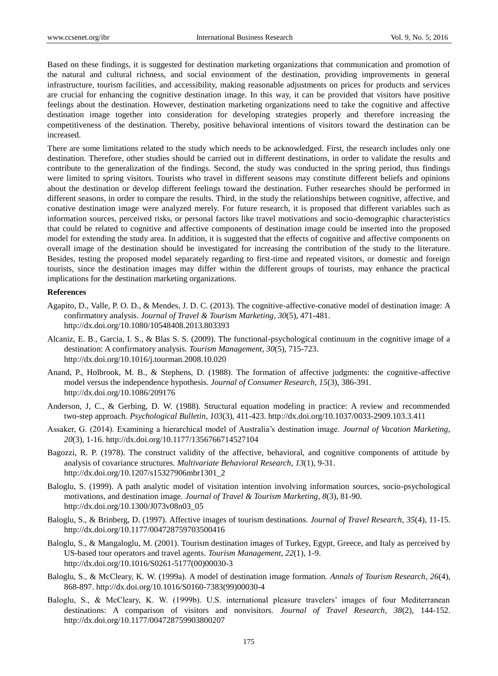Based on these findings, it is suggested for destination marketing organizations that communication and promotion of the natural and cultural richness, and social envionment of the destination, providing improvements in general infrastructure, tourism facilities, and accessibility, making reasonable adjustments on prices for products and services are crucial for enhancing the cognitive destination image. In this way, it can be provided that visitors have positive feelings about the destination. However, destination marketing organizations need to take the cognitive and affective destination image together into consideration for developing strategies properly and therefore increasing the competitiveness of the destination. Thereby, positive behavioral intentions of visitors toward the destination can be increased.

There are some limitations related to the study which needs to be acknowledged. First, the research includes only one destination. Therefore, other studies should be carried out in different destinations, in order to validate the results and contribute to the generalization of the findings. Second, the study was conducted in the spring period, thus findings were limited to spring visitors. Tourists who travel in different seasons may constitute different beliefs and opinions about the destination or develop different feelings toward the destination. Futher researches should be performed in different seasons, in order to compare the results. Third, in the study the relationships between cognitive, affective, and conative destination image were analyzed merely. For future research, it is proposed that different variables such as information sources, perceived risks, or personal factors like travel motivations and socio-demographic characteristics that could be related to cognitive and affective components of destination image could be inserted into the proposed model for extending the study area. In addition, it is suggested that the effects of cognitive and affective components on overall image of the destination should be investigated for increasing the contribution of the study to the literature. Besides, testing the proposed model separately regarding to first-time and repeated visitors, or domestic and foreign tourists, since the destination images may differ within the different groups of tourists, may enhance the practical implications for the destination marketing organizations.

#### **References**

- Agapito, D., Valle, P. O. D., & Mendes, J. D. C. (2013). The cognitive-affective-conative model of destination image: A confirmatory analysis. *Journal of Travel & Tourism Marketing*, *30*(5), 471-481. http://dx.doi.org/10.1080/10548408.2013.803393
- Alcaniz, E. B., Garcia, I. S., & Blas S. S. (2009). The functional-psychological continuum in the cognitive image of a destination: A confirmatory analysis. *Tourism Management*, *30*(5), 715-723. http://dx.doi.org/10.1016/j.tourman.2008.10.020
- Anand, P., Holbrook, M. B., & Stephens, D. (1988). The formation of affective judgments: the cognitive-affective model versus the independence hypothesis. *Journal of Consumer Research*, *15*(3), 386-391. http://dx.doi.org/10.1086/209176
- Anderson, J, C., & Gerbing, D. W. (1988). Structural equation modeling in practice: A review and recommended two-step approach. *Psychological Bulletin*, *103*(3), 411-423. http://dx.doi.org/10.1037/0033-2909.103.3.411
- Assaker, G. (2014). Examining a hierarchical model of Australia's destination image. *Journal of Vacation Marketing, 20*(3), 1-16. http://dx.doi.org/10.1177/1356766714527104
- Bagozzi, R. P. (1978). The construct validity of the affective, behavioral, and cognitive components of attitude by analysis of covariance structures. *Multivariate Behavioral Research*, *13*(1), 9-31. http://dx.doi.org/10.1207/s15327906mbr1301\_2
- Baloglu, S. (1999). A path analytic model of visitation intention involving information sources, socio-psychological motivations, and destination image. *Journal of Travel & Tourism Marketing*, *8*(3), 81-90. http://dx.doi.org/10.1300/J073v08n03\_05
- Baloglu, S., & Brinberg, D. (1997). Affective images of tourism destinations. *Journal of Travel Research*, *35*(4), 11-15. http://dx.doi.org/10.1177/004728759703500416
- Baloglu, S., & Mangaloglu, M. (2001). Tourism destination images of Turkey, Egypt, Greece, and Italy as perceived by US-based tour operators and travel agents. *Tourism Management*, *22*(1), 1-9. http://dx.doi.org/10.1016/S0261-5177(00)00030-3
- Baloglu, S., & McCleary, K. W. (1999a). A model of destination image formation. *Annals of Tourism Research*, *26*(4), 868-897. http://dx.doi.org/10.1016/S0160-7383(99)00030-4
- Baloglu, S., & McCleary, K. W. (1999b). U.S. international pleasure travelers' images of four Mediterranean destinations: A comparison of visitors and nonvisitors. *Journal of Travel Research*, *38*(2), 144-152. http://dx.doi.org/10.1177/004728759903800207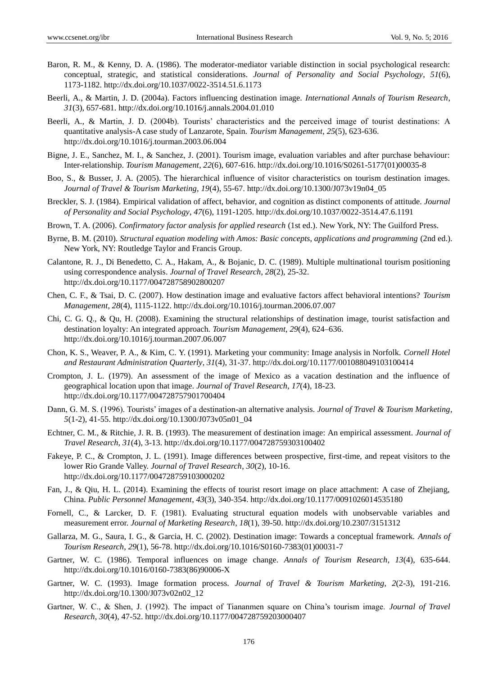- Baron, R. M., & Kenny, D. A. (1986). The moderator-mediator variable distinction in social psychological research: conceptual, strategic, and statistical considerations. *Journal of Personality and Social Psychology*, *51*(6), 1173-1182. http://dx.doi.org/10.1037/0022-3514.51.6.1173
- Beerli, A., & Martin, J. D. (2004a). Factors influencing destination image. *International Annals of Tourism Research*, *31*(3), 657-681. http://dx.doi.org/10.1016/j.annals.2004.01.010
- Beerli, A., & Martin, J. D. (2004b). Tourists' characteristics and the perceived image of tourist destinations: A quantitative analysis-A case study of Lanzarote, Spain. *Tourism Management*, *25*(5), 623-636. http://dx.doi.org/10.1016/j.tourman.2003.06.004
- Bigne, J. E., Sanchez, M. I., & Sanchez, J. (2001). Tourism image, evaluation variables and after purchase behaviour: Inter-relationship. *Tourism Management*, *22*(6), 607-616. http://dx.doi.org/10.1016/S0261-5177(01)00035-8
- Boo, S., & Busser, J. A. (2005). The hierarchical influence of visitor characteristics on tourism destination images. *Journal of Travel & Tourism Marketing*, *19*(4), 55-67. http://dx.doi.org/10.1300/J073v19n04\_05
- Breckler, S. J. (1984). Empirical validation of affect, behavior, and cognition as distinct components of attitude. *Journal of Personality and Social Psychology*, *47*(6), 1191-1205. http://dx.doi.org/10.1037/0022-3514.47.6.1191
- Brown, T. A. (2006). *Confirmatory factor analysis for applied research* (1st ed.). New York, NY: The Guilford Press.
- Byrne, B. M. (2010). *Structural equation modeling with Amos: Basic concepts, applications and programming* (2nd ed.). New York, NY: Routledge Taylor and Francis Group.
- Calantone, R. J., Di Benedetto, C. A., Hakam, A., & Bojanic, D. C. (1989). Multiple multinational tourism positioning using correspondence analysis. *Journal of Travel Research*, *28*(2), 25-32. http://dx.doi.org/10.1177/004728758902800207
- Chen, C. F., & Tsai, D. C. (2007). How destination image and evaluative factors affect behavioral intentions? *Tourism Management*, *28*(4), 1115-1122. http://dx.doi.org/10.1016/j.tourman.2006.07.007
- Chi, C. G. Q., & Qu, H. (2008). Examining the structural relationships of destination image, tourist satisfaction and destination loyalty: An integrated approach. *Tourism Management*, *29*(4), 624–636. http://dx.doi.org/10.1016/j.tourman.2007.06.007
- Chon, K. S., Weaver, P. A., & Kim, C. Y. (1991). Marketing your community: Image analysis in Norfolk. *Cornell Hotel and Restaurant Administration Quarterly*, *31*(4), 31-37. http://dx.doi.org/10.1177/001088049103100414
- Crompton, J. L. (1979). An assessment of the image of Mexico as a vacation destination and the influence of geographical location upon that image. *Journal of Travel Research*, *17*(4), 18-23. http://dx.doi.org/10.1177/004728757901700404
- Dann, G. M. S. (1996). Tourists' images of a destination-an alternative analysis. *Journal of Travel & Tourism Marketing*, *5*(1-2), 41-55. http://dx.doi.org/10.1300/J073v05n01\_04
- Echtner, C. M., & Ritchie, J. R. B. (1993). The measurement of destination image: An empirical assessment. *Journal of Travel Research*, *31*(4), 3-13. http://dx.doi.org/10.1177/004728759303100402
- Fakeye, P. C., & Crompton, J. L. (1991). Image differences between prospective, first-time, and repeat visitors to the lower Rio Grande Valley. *Journal of Travel Research*, *30*(2), 10-16. http://dx.doi.org/10.1177/004728759103000202
- Fan, J., & Qiu, H. L. (2014). Examining the effects of tourist resort image on place attachment: A case of Zhejiang, China. *Public Personnel Management*, *43*(3), 340-354. http://dx.doi.org/10.1177/0091026014535180
- Fornell, C., & Larcker, D. F. (1981). Evaluating structural equation models with unobservable variables and measurement error. *Journal of Marketing Research*, *18*(1), 39-50. http://dx.doi.org/10.2307/3151312
- Gallarza, M. G., Saura, I. G., & Garcia, H. C. (2002). Destination image: Towards a conceptual framework. *Annals of Tourism Research*, *29*(1), 56-78. http://dx.doi.org/10.1016/S0160-7383(01)00031-7
- Gartner, W. C. (1986). Temporal influences on image change. *Annals of Tourism Research*, *13*(4), 635-644. http://dx.doi.org/10.1016/0160-7383(86)90006-X
- Gartner, W. C. (1993). Image formation process. *Journal of Travel & Tourism Marketing*, *2*(2-3), 191-216. http://dx.doi.org/10.1300/J073v02n02\_12
- Gartner, W. C., & Shen, J. (1992). The impact of Tiananmen square on China's tourism image. *Journal of Travel Research*, *30*(4), 47-52. http://dx.doi.org/10.1177/004728759203000407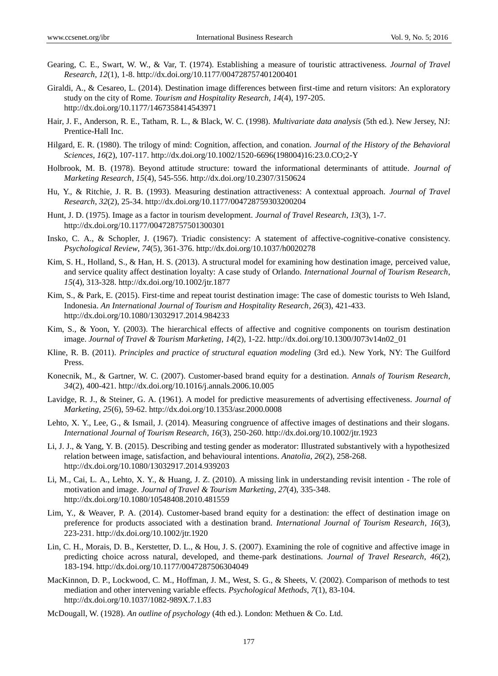- Gearing, C. E., Swart, W. W., & Var, T. (1974). Establishing a measure of touristic attractiveness. *Journal of Travel Research*, *12*(1), 1-8. http://dx.doi.org/10.1177/004728757401200401
- Giraldi, A., & Cesareo, L. (2014). Destination image differences between first-time and return visitors: An exploratory study on the city of Rome. *Tourism and Hospitality Research*, *14*(4), 197-205. http://dx.doi.org/10.1177/1467358414543971
- Hair, J. F., Anderson, R. E., Tatham, R. L., & Black, W. C. (1998). *Multivariate data analysis* (5th ed.). New Jersey, NJ: Prentice-Hall Inc.
- Hilgard, E. R. (1980). The trilogy of mind: Cognition, affection, and conation. *Journal of the History of the Behavioral Sciences*, *16*(2), 107-117. http://dx.doi.org/10.1002/1520-6696(198004)16:23.0.CO;2-Y
- Holbrook, M. B. (1978). Beyond attitude structure: toward the informational determinants of attitude. *Journal of Marketing Research*, *15*(4), 545-556. http://dx.doi.org/10.2307/3150624
- Hu, Y., & Ritchie, J. R. B. (1993). Measuring destination attractiveness: A contextual approach. *Journal of Travel Research*, *32*(2), 25-34. http://dx.doi.org/10.1177/004728759303200204
- Hunt, J. D. (1975). Image as a factor in tourism development. *Journal of Travel Research*, *13*(3), 1-7. http://dx.doi.org/10.1177/004728757501300301
- Insko, C. A., & Schopler, J. (1967). Triadic consistency: A statement of affective-cognitive-conative consistency. *Psychological Review*, *74*(5), 361-376. http://dx.doi.org/10.1037/h0020278
- Kim, S. H., Holland, S., & Han, H. S. (2013). A structural model for examining how destination image, perceived value, and service quality affect destination loyalty: A case study of Orlando. *International Journal of Tourism Research*, *15*(4), 313-328. http://dx.doi.org/10.1002/jtr.1877
- Kim, S., & Park, E. (2015). First-time and repeat tourist destination image: The case of domestic tourists to Weh Island, Indonesia. *An International Journal of Tourism and Hospitality Research*, *26*(3), 421-433. http://dx.doi.org/10.1080/13032917.2014.984233
- Kim, S., & Yoon, Y. (2003). The hierarchical effects of affective and cognitive components on tourism destination image. *Journal of Travel & Tourism Marketing*, *14*(2), 1-22. http://dx.doi.org/10.1300/J073v14n02\_01
- Kline, R. B. (2011). *Principles and practice of structural equation modeling* (3rd ed.). New York, NY: The Guilford Press.
- Konecnik, M., & Gartner, W. C. (2007). Customer-based brand equity for a destination. *Annals of Tourism Research*, *34*(2), 400-421. http://dx.doi.org/10.1016/j.annals.2006.10.005
- Lavidge, R. J., & Steiner, G. A. (1961). A model for predictive measurements of advertising effectiveness. *Journal of Marketing*, *25*(6), 59-62. http://dx.doi.org/10.1353/asr.2000.0008
- Lehto, X. Y., Lee, G., & Ismail, J. (2014). Measuring congruence of affective images of destinations and their slogans. *International Journal of Tourism Research*, *16*(3), 250-260. http://dx.doi.org/10.1002/jtr.1923
- Li, J. J., & Yang, Y. B. (2015). Describing and testing gender as moderator: Illustrated substantively with a hypothesized relation between image, satisfaction, and behavioural intentions. *Anatolia*, *26*(2), 258-268. http://dx.doi.org/10.1080/13032917.2014.939203
- Li, M., Cai, L. A., Lehto, X. Y., & Huang, J. Z. (2010). A missing link in understanding revisit intention The role of motivation and image. *Journal of Travel & Tourism Marketing*, *27*(4), 335-348. http://dx.doi.org/10.1080/10548408.2010.481559
- Lim, Y., & Weaver, P. A. (2014). Customer-based brand equity for a destination: the effect of destination image on preference for products associated with a destination brand. *International Journal of Tourism Research*, *16*(3), 223-231. http://dx.doi.org/10.1002/jtr.1920
- Lin, C. H., Morais, D. B., Kerstetter, D. L., & Hou, J. S. (2007). Examining the role of cognitive and affective image in predicting choice across natural, developed, and theme-park destinations. *Journal of Travel Research*, *46*(2), 183-194. http://dx.doi.org/10.1177/0047287506304049
- MacKinnon, D. P., Lockwood, C. M., Hoffman, J. M., West, S. G., & Sheets, V. (2002). Comparison of methods to test mediation and other intervening variable effects. *Psychological Methods*, *7*(1), 83-104. http://dx.doi.org/10.1037/1082-989X.7.1.83
- McDougall, W. (1928). *An outline of psychology* (4th ed.). London: Methuen & Co. Ltd.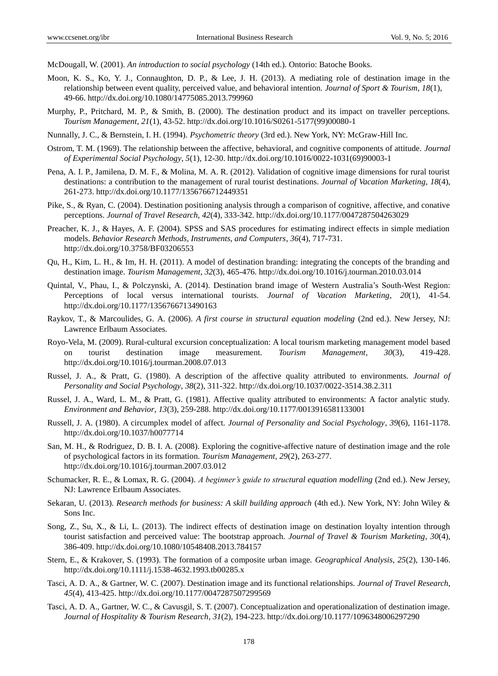McDougall, W. (2001). *An introduction to social psychology* (14th ed.). Ontorio: Batoche Books.

- Moon, K. S., Ko, Y. J., Connaughton, D. P., & Lee, J. H. (2013). A mediating role of destination image in the relationship between event quality, perceived value, and behavioral intention. *Journal of Sport & Tourism*, *18*(1), 49-66. http://dx.doi.org/10.1080/14775085.2013.799960
- Murphy, P., Pritchard, M. P., & Smith, B. (2000). The destination product and its impact on traveller perceptions. *Tourism Management*, *21*(1), 43-52. http://dx.doi.org/10.1016/S0261-5177(99)00080-1
- Nunnally, J. C., & Bernstein, I. H. (1994). *Psychometric theory* (3rd ed.). New York, NY: McGraw-Hill Inc.
- Ostrom, T. M. (1969). The relationship between the affective, behavioral, and cognitive components of attitude. *Journal of Experimental Social Psychology*, *5*(1), 12-30. http://dx.doi.org/10.1016/0022-1031(69)90003-1
- Pena, A. I. P., Jamilena, D. M. F., & Molina, M. A. R. (2012). Validation of cognitive image dimensions for rural tourist destinations: a contribution to the management of rural tourist destinations. *Journal of Vacation Marketing*, *18*(4), 261-273. http://dx.doi.org/10.1177/1356766712449351
- Pike, S., & Ryan, C. (2004). Destination positioning analysis through a comparison of cognitive, affective, and conative perceptions. *Journal of Travel Research*, *42*(4), 333-342. http://dx.doi.org/10.1177/0047287504263029
- Preacher, K. J., & Hayes, A. F. (2004). SPSS and SAS procedures for estimating indirect effects in simple mediation models. *Behavior Research Methods, Instruments, and Computers*, *36*(4), 717-731. http://dx.doi.org/10.3758/BF03206553
- Qu, H., Kim, L. H., & Im, H. H. (2011). A model of destination branding: integrating the concepts of the branding and destination image. *Tourism Management*, *32*(3), 465-476. http://dx.doi.org/10.1016/j.tourman.2010.03.014
- Quintal, V., Phau, I., & Polczynski, A. (2014). Destination brand image of Western Australia's South-West Region: Perceptions of local versus international tourists. *Journal of Vacation Marketing*, *20*(1), 41-54. http://dx.doi.org/10.1177/1356766713490163
- Raykov, T., & Marcoulides, G. A. (2006). *A first course in structural equation modeling* (2nd ed.). New Jersey, NJ: Lawrence Erlbaum Associates.
- Royo-Vela, M. (2009). Rural-cultural excursion conceptualization: A local tourism marketing management model based on tourist destination image measurement. *Tourism Management*, *30*(3), 419-428. http://dx.doi.org/10.1016/j.tourman.2008.07.013
- Russel, J. A., & Pratt, G. (1980). A description of the affective quality attributed to environments. *Journal of Personality and Social Psychology*, *38*(2), 311-322. http://dx.doi.org/10.1037/0022-3514.38.2.311
- Russel, J. A., Ward, L. M., & Pratt, G. (1981). Affective quality attributed to environments: A factor analytic study. *Environment and Behavior*, *13*(3), 259-288. http://dx.doi.org/10.1177/0013916581133001
- Russell, J. A. (1980). A circumplex model of affect. *Journal of Personality and Social Psychology*, *39*(6), 1161-1178. http://dx.doi.org/10.1037/h0077714
- San, M. H., & Rodriguez, D. B. I. A. (2008). Exploring the cognitive-affective nature of destination image and the role of psychological factors in its formation. *Tourism Management*, *29*(2), 263-277. http://dx.doi.org/10.1016/j.tourman.2007.03.012
- Schumacker, R. E., & Lomax, R. G. (2004). *A beginner's guide to structural equation modelling* (2nd ed.). New Jersey, NJ: Lawrence Erlbaum Associates.
- Sekaran, U. (2013). *Research methods for business: A skill building approach* (4th ed.). New York, NY: John Wiley & Sons Inc.
- Song, Z., Su, X., & Li, L. (2013). The indirect effects of destination image on destination loyalty intention through tourist satisfaction and perceived value: The bootstrap approach. *Journal of Travel & Tourism Marketing*, *30*(4), 386-409. http://dx.doi.org/10.1080/10548408.2013.784157
- Stern, E., & Krakover, S. (1993). The formation of a composite urban image. *Geographical Analysis*, *25*(2), 130-146. http://dx.doi.org/10.1111/j.1538-4632.1993.tb00285.x
- Tasci, A. D. A., & Gartner, W. C. (2007). Destination image and its functional relationships. *Journal of Travel Research*, *45*(4), 413-425. http://dx.doi.org/10.1177/0047287507299569
- Tasci, A. D. A., Gartner, W. C., & Cavusgil, S. T. (2007). Conceptualization and operationalization of destination image. *Journal of Hospitality & Tourism Research*, *31*(2), 194-223. http://dx.doi.org/10.1177/1096348006297290